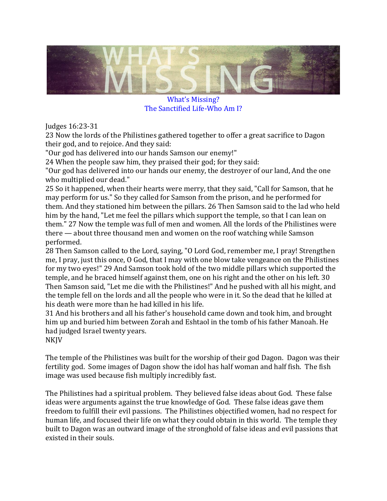

What's Missing? The Sanctified Life-Who Am I?

Judges 16:23-31

23 Now the lords of the Philistines gathered together to offer a great sacrifice to Dagon their god, and to rejoice. And they said:

"Our god has delivered into our hands Samson our enemy!"

24 When the people saw him, they praised their god; for they said:

"Our god has delivered into our hands our enemy, the destroyer of our land, And the one who multiplied our dead."

25 So it happened, when their hearts were merry, that they said, "Call for Samson, that he may perform for us." So they called for Samson from the prison, and he performed for them. And they stationed him between the pillars. 26 Then Samson said to the lad who held him by the hand, "Let me feel the pillars which support the temple, so that I can lean on them." 27 Now the temple was full of men and women. All the lords of the Philistines were there — about three thousand men and women on the roof watching while Samson performed.

28 Then Samson called to the Lord, saying, "O Lord God, remember me, I pray! Strengthen me, I pray, just this once, O God, that I may with one blow take vengeance on the Philistines for my two eyes!" 29 And Samson took hold of the two middle pillars which supported the temple, and he braced himself against them, one on his right and the other on his left. 30 Then Samson said, "Let me die with the Philistines!" And he pushed with all his might, and the temple fell on the lords and all the people who were in it. So the dead that he killed at his death were more than he had killed in his life.

31 And his brothers and all his father's household came down and took him, and brought him up and buried him between Zorah and Eshtaol in the tomb of his father Manoah. He had judged Israel twenty years.

NKJV

The temple of the Philistines was built for the worship of their god Dagon. Dagon was their fertility god. Some images of Dagon show the idol has half woman and half fish. The fish image was used because fish multiply incredibly fast.

The Philistines had a spiritual problem. They believed false ideas about God. These false ideas were arguments against the true knowledge of God. These false ideas gave them freedom to fulfill their evil passions. The Philistines objectified women, had no respect for human life, and focused their life on what they could obtain in this world. The temple they built to Dagon was an outward image of the stronghold of false ideas and evil passions that existed in their souls.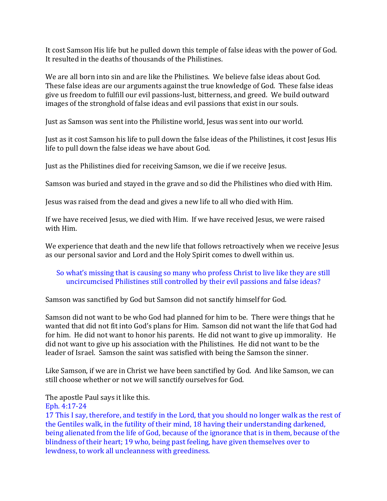It cost Samson His life but he pulled down this temple of false ideas with the power of God. It resulted in the deaths of thousands of the Philistines.

We are all born into sin and are like the Philistines. We believe false ideas about God. These false ideas are our arguments against the true knowledge of God. These false ideas give us freedom to fulfill our evil passions-lust, bitterness, and greed. We build outward images of the stronghold of false ideas and evil passions that exist in our souls.

Just as Samson was sent into the Philistine world, Jesus was sent into our world.

Just as it cost Samson his life to pull down the false ideas of the Philistines, it cost Jesus His life to pull down the false ideas we have about God.

Just as the Philistines died for receiving Samson, we die if we receive Jesus.

Samson was buried and stayed in the grave and so did the Philistines who died with Him.

Jesus was raised from the dead and gives a new life to all who died with Him.

If we have received Jesus, we died with Him. If we have received Jesus, we were raised with Him.

We experience that death and the new life that follows retroactively when we receive Jesus as our personal savior and Lord and the Holy Spirit comes to dwell within us.

## So what's missing that is causing so many who profess Christ to live like they are still uncircumcised Philistines still controlled by their evil passions and false ideas?

Samson was sanctified by God but Samson did not sanctify himself for God.

Samson did not want to be who God had planned for him to be. There were things that he wanted that did not fit into God's plans for Him. Samson did not want the life that God had for him. He did not want to honor his parents. He did not want to give up immorality. He did not want to give up his association with the Philistines. He did not want to be the leader of Israel. Samson the saint was satisfied with being the Samson the sinner.

Like Samson, if we are in Christ we have been sanctified by God. And like Samson, we can still choose whether or not we will sanctify ourselves for God.

The apostle Paul says it like this.

Eph. 4:17-24

17 This I say, therefore, and testify in the Lord, that you should no longer walk as the rest of the Gentiles walk, in the futility of their mind, 18 having their understanding darkened, being alienated from the life of God, because of the ignorance that is in them, because of the blindness of their heart; 19 who, being past feeling, have given themselves over to lewdness, to work all uncleanness with greediness.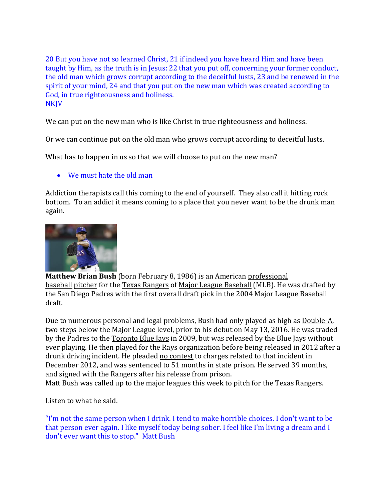20 But you have not so learned Christ, 21 if indeed you have heard Him and have been taught by Him, as the truth is in Jesus: 22 that you put off, concerning your former conduct, the old man which grows corrupt according to the deceitful lusts, 23 and be renewed in the spirit of your mind, 24 and that you put on the new man which was created according to God, in true righteousness and holiness. NKJV

We can put on the new man who is like Christ in true righteousness and holiness.

Or we can continue put on the old man who grows corrupt according to deceitful lusts.

What has to happen in us so that we will choose to put on the new man?

## We must hate the old man

Addiction therapists call this coming to the end of yourself. They also call it hitting rock bottom. To an addict it means coming to a place that you never want to be the drunk man again.



**Matthew Brian Bush** (born February 8, 1986) is an American [professional](https://en.wikipedia.org/wiki/Professional_baseball)  [baseball](https://en.wikipedia.org/wiki/Professional_baseball) [pitcher](https://en.wikipedia.org/wiki/Pitcher) for the [Texas Rangers](https://en.wikipedia.org/wiki/Texas_Rangers_(baseball)) of [Major League Baseball](https://en.wikipedia.org/wiki/Major_League_Baseball) (MLB). He was drafted by the [San Diego Padres](https://en.wikipedia.org/wiki/San_Diego_Padres) with the [first overall draft pick](https://en.wikipedia.org/wiki/List_of_first_overall_Major_League_Baseball_draft_picks) in the [2004 Major League Baseball](https://en.wikipedia.org/wiki/2004_Major_League_Baseball_draft)  [draft.](https://en.wikipedia.org/wiki/2004_Major_League_Baseball_draft)

Due to numerous personal and legal problems, Bush had only played as high as [Double-A,](https://en.wikipedia.org/wiki/Double-A_(baseball)) two steps below the Major League level, prior to his debut on May 13, 2016. He was traded by the Padres to the [Toronto Blue Jays](https://en.wikipedia.org/wiki/Toronto_Blue_Jays) in 2009, but was released by the Blue Jays without ever playing. He then played for the Rays organization before being released in 2012 after a drunk driving incident. He pleaded [no contest](https://en.wikipedia.org/wiki/Nolo_contendere) to charges related to that incident in December 2012, and was sentenced to 51 months in state prison. He served 39 months, and signed with the Rangers after his release from prison. Matt Bush was called up to the major leagues this week to pitch for the Texas Rangers.

Listen to what he said.

"I'm not the same person when I drink. I tend to make horrible choices. I don't want to be that person ever again. I like myself today being sober. I feel like I'm living a dream and I don't ever want this to stop." Matt Bush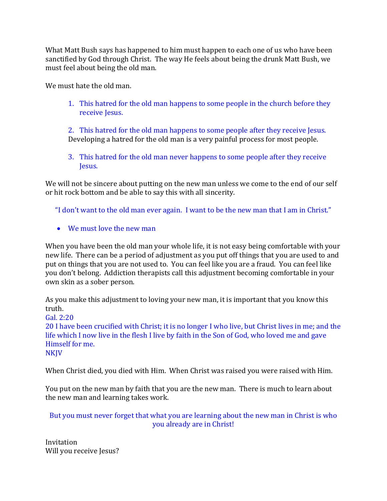What Matt Bush says has happened to him must happen to each one of us who have been sanctified by God through Christ. The way He feels about being the drunk Matt Bush, we must feel about being the old man.

We must hate the old man.

1. This hatred for the old man happens to some people in the church before they receive Jesus.

2. This hatred for the old man happens to some people after they receive Jesus. Developing a hatred for the old man is a very painful process for most people.

3. This hatred for the old man never happens to some people after they receive Jesus.

We will not be sincere about putting on the new man unless we come to the end of our self or hit rock bottom and be able to say this with all sincerity.

"I don't want to the old man ever again. I want to be the new man that I am in Christ."

We must love the new man

When you have been the old man your whole life, it is not easy being comfortable with your new life. There can be a period of adjustment as you put off things that you are used to and put on things that you are not used to. You can feel like you are a fraud. You can feel like you don't belong. Addiction therapists call this adjustment becoming comfortable in your own skin as a sober person.

As you make this adjustment to loving your new man, it is important that you know this truth.

Gal. 2:20

20 I have been crucified with Christ; it is no longer I who live, but Christ lives in me; and the life which I now live in the flesh I live by faith in the Son of God, who loved me and gave Himself for me. **NKJV** 

When Christ died, you died with Him. When Christ was raised you were raised with Him.

You put on the new man by faith that you are the new man. There is much to learn about the new man and learning takes work.

But you must never forget that what you are learning about the new man in Christ is who you already are in Christ!

Invitation Will you receive Jesus?